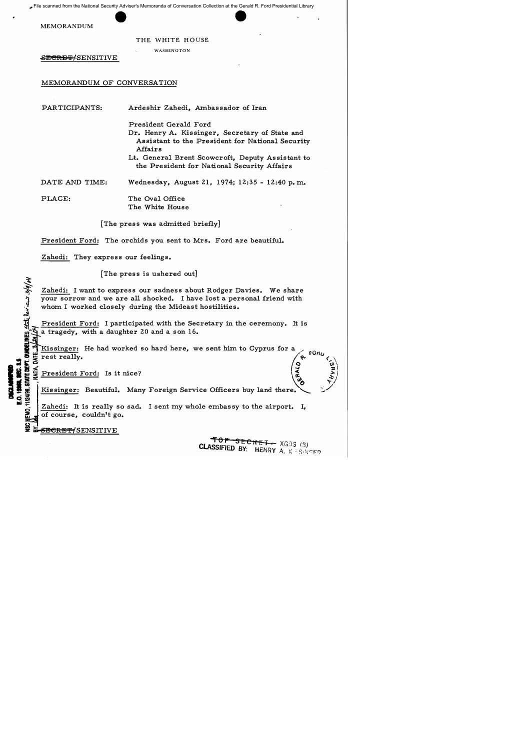File scanned from the National Security Adviser's Memoranda of Conversation Collection at the Gerald R. Ford Presidential Library

MEMORANDUM

THE WHITE HOUSE

WASHINGTON

<del>SECRET/</del>SENSITIVE

## MEMORANDUM OF CONVERSATION

PAR TICIPANTS: Ardeshir Zahedi, Ambassador of Iran

> President Gerald Ford Dr. Henry A. Kissinger, Secretary of State and Assistant to the President for National Security Affairs

> Lt. General Brent Scowcroft, Deputy Assistant to the President for National Security Affairs

DATE AND TIME: Wednesday, August 21, 1974; 12:35 - 12;40 p. m.

PLACE: The Oval Office The White House

[The press was admitted briefly]

President Ford: The orchids you sent to Mrs. Ford are beautiful.

Zahedi: They express our feelings.

[The press is ushered out]

 $\frac{1}{2}$ \_<br>{ह Zahedi: I want to express our sadness about Rodger Davies. We share your sorrow and we are all shocked. I have lost a personal friend with whom I worked closely during the Mideast hostilities.

President Ford: I participated with the Secretary in the ceremony. It is a tragedy, with a daughter 20 and a son  $16.$ 

where the had worked so hard here, we sent him to Cyprus for a<br>  $\frac{1}{2}$   $\frac{1}{2}$  rest really.<br>  $\frac{1}{2}$   $\frac{1}{2}$   $\frac{1}{2}$   $\frac{1}{2}$   $\frac{1}{2}$   $\frac{1}{2}$   $\frac{1}{2}$   $\frac{1}{2}$   $\frac{1}{2}$   $\frac{1}{2}$   $\frac{1}{2}$   $\frac{1}{2}$   $\frac{$ 

President Ford: Is it nice?

Kissinger: Beautiful. Many Foreign Service Officers buy land there.

 $\mathbf{E}$   $\overrightarrow{z}$   $\mathbf{Z}$   $\mathbf{Z}$  ahedi: It is really so sad. I sent my whole embassy to the airport. I, of course, couldn't go.

<del>SECRET/</del>SENSITIVE

 $\mathfrak{Z}$ ۔<br>فع

T. GUNDELINES

**I JAN SHE USE** 

fo<del>p secret -</del> XGOS (3) CLASSIFIED BY: HENRY A. K SSINGER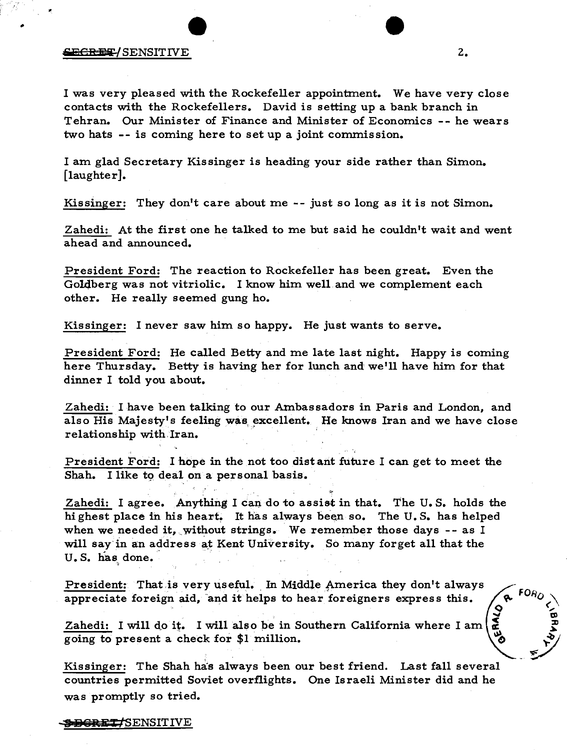## **SECREE/SENSITIVE** 2.

..

I was very pleased with the Rockefeller appointment. We have very close contacts with the Rockefellers. David is setting up a bank branch in Tehran. Our Minister of Finance and Minister of Economics -- he wears two hats -- is coming here to set up a joint commission.

I am glad Secretary Kis singer is heading your side rather than Simon. [laughter].

Kissinger: They don't care about me -- just so long as it is not Simon.

Zahedi: At the first one he talked to me but said he couldn't wait and went ahead and announced.

President Ford: The reaction to Rockefeller has been great. Even the Go14berg was not vitriolic. I know him well and we complement each other. He really seemed gung ho.

Kissinger: I never saw him so happy. He just wants to serve.

President Ford: He called Betty and me late last night. Happy is coming here Thursday. Betty is having her for lunch and we'll have him for that dinner I told you about.

Zahedi: I have been talking to our Ambassadors in Paris and London, and also His Majesty's feeling was excellent. He knows Iran and we have close relationship with Iran.

President Ford: I hope in the not too distant future I can get to meet the Shah. I like to deal on a personal basis.

Zahedi: I agree. Anything I can do to assist in that. The U.S. holds the hi ghest place in his heart. It has always been so. The U.S. has helped when we needed it, without strings. We remember those days  $-$ - as I will say in an address at Kent University. So many forget all that the U.S. has done.

President: That is very useful. In Middle America they don't always appreciate foreign aid, "and it helps to hear foreigners express this.

Zahedi: I will do it. I will also be in Southern California where I am going to present a check for \$1 million.

Kissinger: The Shah has always been our best friend. Last fall several countries permitted Soviet overflights. One Israeli Minister did and he was promptly so tried.

## 1<del>DGRET/</del>SENSITIVE

 $FOR_O$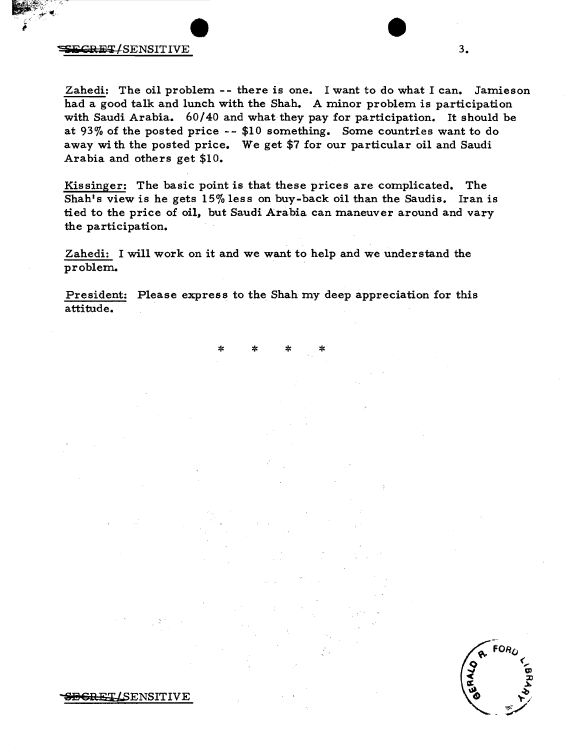## $S<sub>1</sub>$  set  $S<sub>2</sub>$  set  $S<sub>3</sub>$  set  $S<sub>4</sub>$  set  $S<sub>3</sub>$  set  $S<sub>4</sub>$

Zahedi: The oil problem -- there is one. I want to do what I can. Jamieson had a good talk and lunch with the Shah. A minor problem is participation with Saudi Arabia. 60/40 and what they pay for participation. It should be at 93% of the posted price -- \$10 something. Some countries want to do away wi th the posted price. We get \$7 for our particular oil and Saudi Arabia and others get \$10.

Kis singer: The basic point is that these prices are complicated. The Shah's view is he gets 15% less on buy-back oil than the Saudis. Iran is tied to the price of oil, but Saudi Arabia can maneuver around and vary the participation.

Zahedi: I will work on it and we want to help and we understand the problem.

President: Please express to the Shah my deep appreciation for this attitude.

\* \* \* \*

 $FOR<sub>L</sub>$ 

**BGRET/SENSITIVE**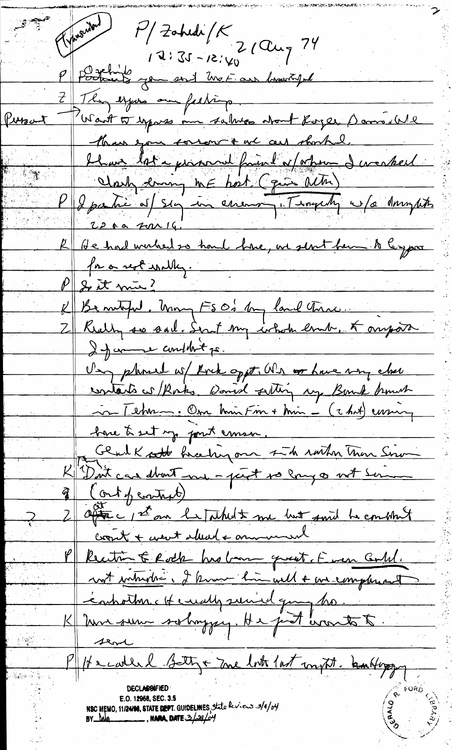$P/$ Zahede /K<br>2 (Clug 74 Travender  $12:51-15:4$ P Potter you en 1 met au brunty They expose one feeling. Want to sypass me salves about Royer Dams We Persont than you corrent out an obortel. blam lot a promoval faint of others I weaked  $\mathbb{E}[\mathcal{H}]$ Clark drang me host (più actri) P & partie of sig in cremen . Thoughty w/a drughts 22 00 2016 R de had wurked so hard have, we sent hem to ley par for a rest walky. P & it min? K Bentify Mong FS O's by land true. 2 Rully so sail. Surt my whole end, & ourport If come condet ps. Ung plumed ws/ Rock oppt. Wh or have my close contacts is Rocks. Daniel setting my Bomb brown Chat Lehren. Om hin Fin + hin - (2 hat) curing have to set my point emser Glad Kott braching on 1 th rather Than Sim K "Dut can don't me - part so long or not some  $\frac{2}{3}$  (ort penturo) 2 after 1st an Infahilt me but said he combined crowl + went alread + annumeral Recitin E Rock his bonne quest Even Could. not which i I know him will a we complement énhorture Hendly suriel quy ho-K Une sure solonggey. He just worts to. sent 1/12 carled Setty + me lot last my til. bankloppy **DECLASSIFIEI** E.O. 12958, SEC. 3.5 NSC MEMO, 11/24196, STATE DEPT. GUIDELINES, State leviews 3/4/04 BY Mag NARA, DATE 3/24/04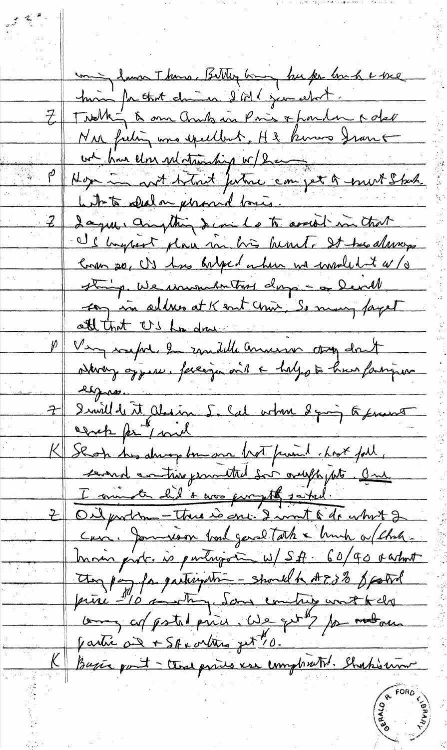uning lawn Thams. Bitter hang but for love a bre him for that changes & MI jun about. Z Twelking & our ands in Pris & funder rate Nor frehing was epeelbert. H2 knows from + we have don substanding w/ bar Hope in not telent future can get a most Stack With to shalor performed lovers I agree anything I can be to secret in that If hypost place in his hunt. It the always Coron 20, US has belged on here we worked to a stamp. We unumber that days - or Devill In in all we at K and chin So many fayet att that US has done Very safel to condite america top don't odbronz oppere. Perceiza vil a haljo to hun famigur espas. Ismillet it absin 5. Cal when I going to frans cerch pr / ml K Shop his drive bon one hot finand host foll, served controve from the Sor oruph with an I muster did & was purythe satud. Oilproblem - Thus is one. I writ & dr whit 2  $\leftarrow$ Cris. Jameson bond garal Tath & bruch a (Chatmoin prob. is partiron w/SA 60/90 octat They pay for gartingation - should hat 88 footid princ -10 monthly. Same comprise wort to do long of pstal price, We get 2 for motors Partie au + SAX ortures jut "10. Bagie port - that prices ver completent. Shakimo